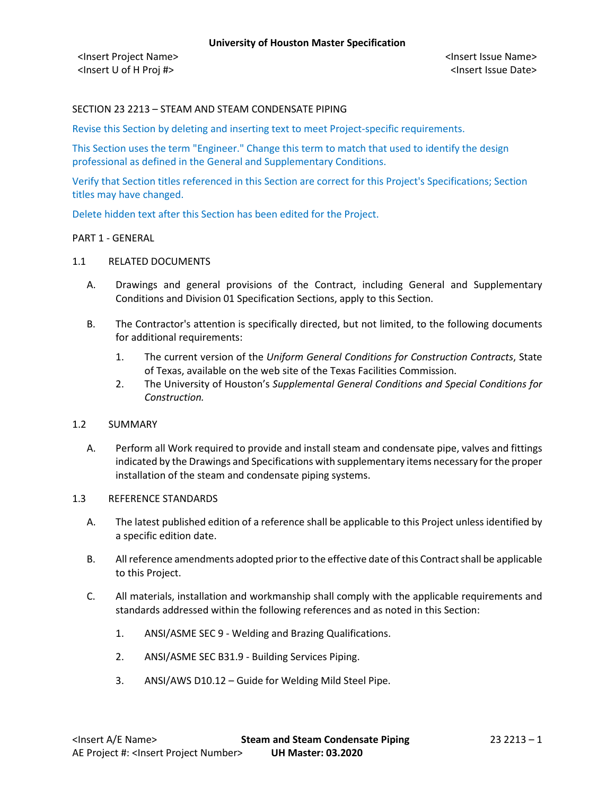# SECTION 23 2213 – STEAM AND STEAM CONDENSATE PIPING

Revise this Section by deleting and inserting text to meet Project-specific requirements.

This Section uses the term "Engineer." Change this term to match that used to identify the design professional as defined in the General and Supplementary Conditions.

Verify that Section titles referenced in this Section are correct for this Project's Specifications; Section titles may have changed.

Delete hidden text after this Section has been edited for the Project.

## PART 1 - GENERAL

# 1.1 RELATED DOCUMENTS

- A. Drawings and general provisions of the Contract, including General and Supplementary Conditions and Division 01 Specification Sections, apply to this Section.
- B. The Contractor's attention is specifically directed, but not limited, to the following documents for additional requirements:
	- 1. The current version of the *Uniform General Conditions for Construction Contracts*, State of Texas, available on the web site of the Texas Facilities Commission.
	- 2. The University of Houston's *Supplemental General Conditions and Special Conditions for Construction.*

#### 1.2 SUMMARY

A. Perform all Work required to provide and install steam and condensate pipe, valves and fittings indicated by the Drawings and Specifications with supplementary items necessary for the proper installation of the steam and condensate piping systems.

## 1.3 REFERENCE STANDARDS

- A. The latest published edition of a reference shall be applicable to this Project unless identified by a specific edition date.
- B. All reference amendments adopted prior to the effective date of this Contract shall be applicable to this Project.
- C. All materials, installation and workmanship shall comply with the applicable requirements and standards addressed within the following references and as noted in this Section:
	- 1. ANSI/ASME SEC 9 Welding and Brazing Qualifications.
	- 2. ANSI/ASME SEC B31.9 Building Services Piping.
	- 3. ANSI/AWS D10.12 Guide for Welding Mild Steel Pipe.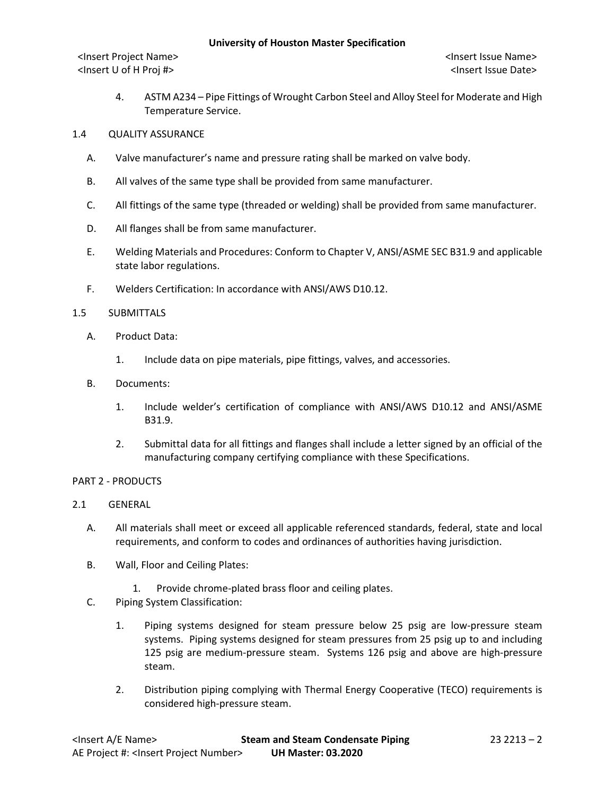<Insert Project Name> <Insert Issue Name> <Insert U of H Proj #> <Insert Issue Date>

- 4. ASTM A234 Pipe Fittings of Wrought Carbon Steel and Alloy Steel for Moderate and High Temperature Service.
- 1.4 QUALITY ASSURANCE
	- A. Valve manufacturer's name and pressure rating shall be marked on valve body.
	- B. All valves of the same type shall be provided from same manufacturer.
	- C. All fittings of the same type (threaded or welding) shall be provided from same manufacturer.
	- D. All flanges shall be from same manufacturer.
	- E. Welding Materials and Procedures: Conform to Chapter V, ANSI/ASME SEC B31.9 and applicable state labor regulations.
	- F. Welders Certification: In accordance with ANSI/AWS D10.12.

### 1.5 SUBMITTALS

- A. Product Data:
	- 1. Include data on pipe materials, pipe fittings, valves, and accessories.
- B. Documents:
	- 1. Include welder's certification of compliance with ANSI/AWS D10.12 and ANSI/ASME B31.9.
	- 2. Submittal data for all fittings and flanges shall include a letter signed by an official of the manufacturing company certifying compliance with these Specifications.

### PART 2 - PRODUCTS

- 2.1 GENERAL
	- A. All materials shall meet or exceed all applicable referenced standards, federal, state and local requirements, and conform to codes and ordinances of authorities having jurisdiction.
	- B. Wall, Floor and Ceiling Plates:
		- 1. Provide chrome-plated brass floor and ceiling plates.
	- C. Piping System Classification:
		- 1. Piping systems designed for steam pressure below 25 psig are low-pressure steam systems. Piping systems designed for steam pressures from 25 psig up to and including 125 psig are medium-pressure steam. Systems 126 psig and above are high-pressure steam.
		- 2. Distribution piping complying with Thermal Energy Cooperative (TECO) requirements is considered high-pressure steam.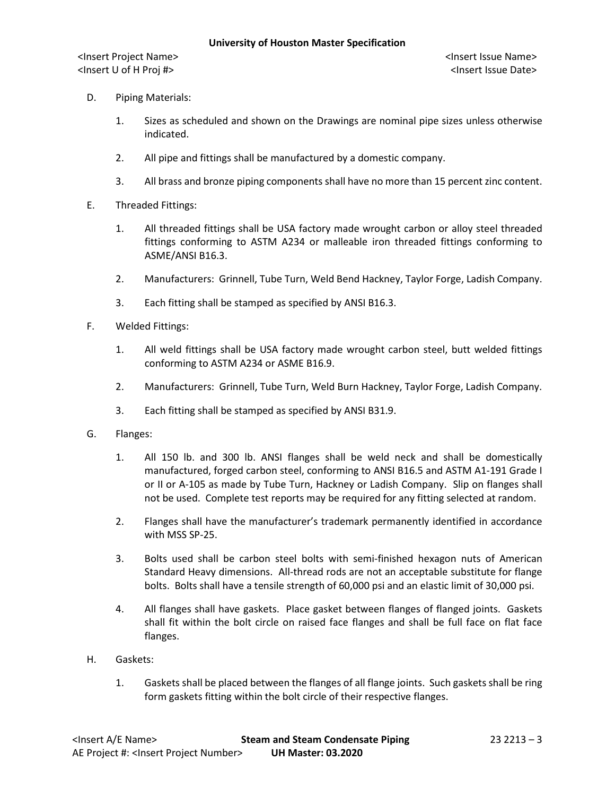- D. Piping Materials:
	- 1. Sizes as scheduled and shown on the Drawings are nominal pipe sizes unless otherwise indicated.
	- 2. All pipe and fittings shall be manufactured by a domestic company.
	- 3. All brass and bronze piping components shall have no more than 15 percent zinc content.
- E. Threaded Fittings:
	- 1. All threaded fittings shall be USA factory made wrought carbon or alloy steel threaded fittings conforming to ASTM A234 or malleable iron threaded fittings conforming to ASME/ANSI B16.3.
	- 2. Manufacturers: Grinnell, Tube Turn, Weld Bend Hackney, Taylor Forge, Ladish Company.
	- 3. Each fitting shall be stamped as specified by ANSI B16.3.
- F. Welded Fittings:
	- 1. All weld fittings shall be USA factory made wrought carbon steel, butt welded fittings conforming to ASTM A234 or ASME B16.9.
	- 2. Manufacturers: Grinnell, Tube Turn, Weld Burn Hackney, Taylor Forge, Ladish Company.
	- 3. Each fitting shall be stamped as specified by ANSI B31.9.
- G. Flanges:
	- 1. All 150 lb. and 300 lb. ANSI flanges shall be weld neck and shall be domestically manufactured, forged carbon steel, conforming to ANSI B16.5 and ASTM A1-191 Grade I or II or A-105 as made by Tube Turn, Hackney or Ladish Company. Slip on flanges shall not be used. Complete test reports may be required for any fitting selected at random.
	- 2. Flanges shall have the manufacturer's trademark permanently identified in accordance with MSS SP-25.
	- 3. Bolts used shall be carbon steel bolts with semi-finished hexagon nuts of American Standard Heavy dimensions. All-thread rods are not an acceptable substitute for flange bolts. Bolts shall have a tensile strength of 60,000 psi and an elastic limit of 30,000 psi.
	- 4. All flanges shall have gaskets. Place gasket between flanges of flanged joints. Gaskets shall fit within the bolt circle on raised face flanges and shall be full face on flat face flanges.
- H. Gaskets:
	- 1. Gaskets shall be placed between the flanges of all flange joints. Such gaskets shall be ring form gaskets fitting within the bolt circle of their respective flanges.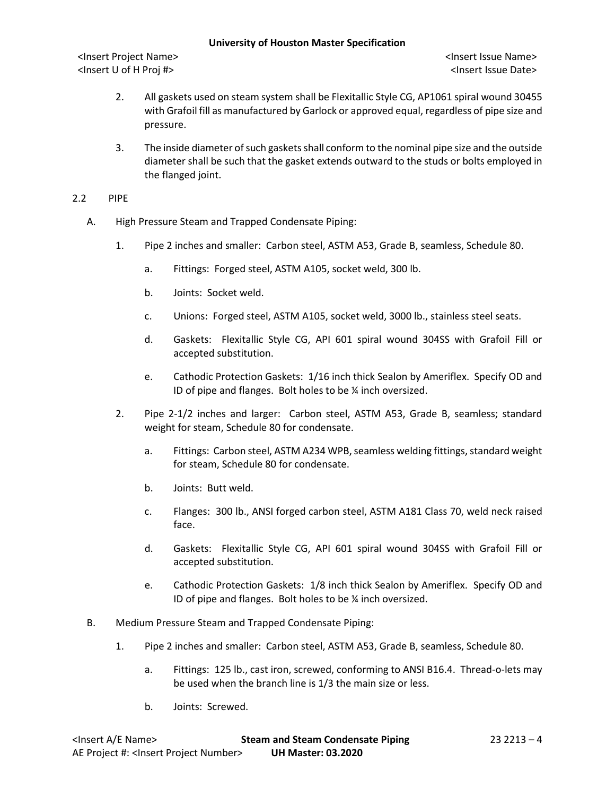- 2. All gaskets used on steam system shall be Flexitallic Style CG, AP1061 spiral wound 30455 with Grafoil fill as manufactured by Garlock or approved equal, regardless of pipe size and pressure.
- 3. The inside diameter of such gaskets shall conform to the nominal pipe size and the outside diameter shall be such that the gasket extends outward to the studs or bolts employed in the flanged joint.
- 2.2 PIPE
	- A. High Pressure Steam and Trapped Condensate Piping:
		- 1. Pipe 2 inches and smaller: Carbon steel, ASTM A53, Grade B, seamless, Schedule 80.
			- a. Fittings: Forged steel, ASTM A105, socket weld, 300 lb.
			- b. Joints: Socket weld.
			- c. Unions: Forged steel, ASTM A105, socket weld, 3000 lb., stainless steel seats.
			- d. Gaskets: Flexitallic Style CG, API 601 spiral wound 304SS with Grafoil Fill or accepted substitution.
			- e. Cathodic Protection Gaskets: 1/16 inch thick Sealon by Ameriflex. Specify OD and ID of pipe and flanges. Bolt holes to be ¼ inch oversized.
		- 2. Pipe 2-1/2 inches and larger: Carbon steel, ASTM A53, Grade B, seamless; standard weight for steam, Schedule 80 for condensate.
			- a. Fittings: Carbon steel, ASTM A234 WPB, seamless welding fittings, standard weight for steam, Schedule 80 for condensate.
			- b. Joints: Butt weld.
			- c. Flanges: 300 lb., ANSI forged carbon steel, ASTM A181 Class 70, weld neck raised face.
			- d. Gaskets: Flexitallic Style CG, API 601 spiral wound 304SS with Grafoil Fill or accepted substitution.
			- e. Cathodic Protection Gaskets: 1/8 inch thick Sealon by Ameriflex. Specify OD and ID of pipe and flanges. Bolt holes to be ¼ inch oversized.
	- B. Medium Pressure Steam and Trapped Condensate Piping:
		- 1. Pipe 2 inches and smaller: Carbon steel, ASTM A53, Grade B, seamless, Schedule 80.
			- a. Fittings: 125 lb., cast iron, screwed, conforming to ANSI B16.4. Thread-o-lets may be used when the branch line is 1/3 the main size or less.
			- b. Joints: Screwed.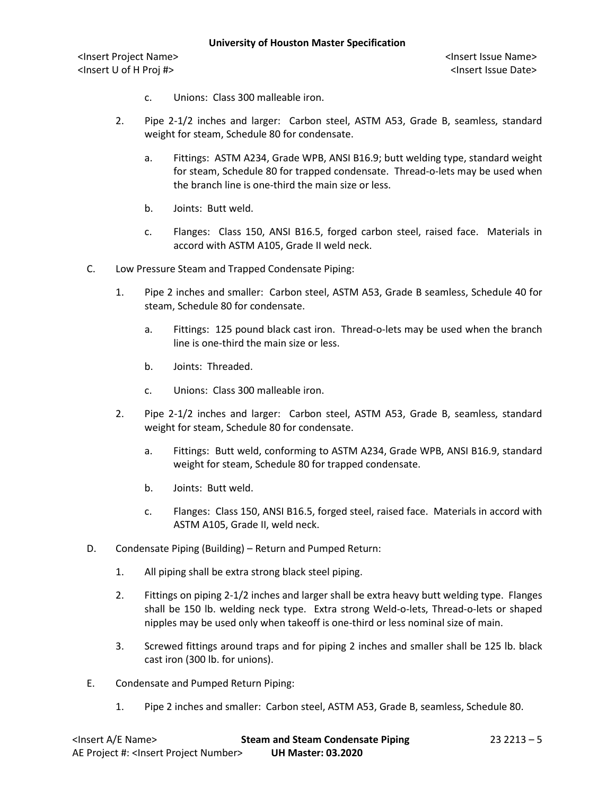<Insert U of H Proj #> <Insert Issue Date>

- c. Unions: Class 300 malleable iron.
- 2. Pipe 2-1/2 inches and larger: Carbon steel, ASTM A53, Grade B, seamless, standard weight for steam, Schedule 80 for condensate.
	- a. Fittings: ASTM A234, Grade WPB, ANSI B16.9; butt welding type, standard weight for steam, Schedule 80 for trapped condensate. Thread-o-lets may be used when the branch line is one-third the main size or less.
	- b. Joints: Butt weld.
	- c. Flanges: Class 150, ANSI B16.5, forged carbon steel, raised face. Materials in accord with ASTM A105, Grade II weld neck.
- C. Low Pressure Steam and Trapped Condensate Piping:
	- 1. Pipe 2 inches and smaller: Carbon steel, ASTM A53, Grade B seamless, Schedule 40 for steam, Schedule 80 for condensate.
		- a. Fittings: 125 pound black cast iron. Thread-o-lets may be used when the branch line is one-third the main size or less.
		- b. Joints: Threaded.
		- c. Unions: Class 300 malleable iron.
	- 2. Pipe 2-1/2 inches and larger: Carbon steel, ASTM A53, Grade B, seamless, standard weight for steam, Schedule 80 for condensate.
		- a. Fittings: Butt weld, conforming to ASTM A234, Grade WPB, ANSI B16.9, standard weight for steam, Schedule 80 for trapped condensate.
		- b. Joints: Butt weld.
		- c. Flanges: Class 150, ANSI B16.5, forged steel, raised face. Materials in accord with ASTM A105, Grade II, weld neck.
- D. Condensate Piping (Building) Return and Pumped Return:
	- 1. All piping shall be extra strong black steel piping.
	- 2. Fittings on piping 2-1/2 inches and larger shall be extra heavy butt welding type. Flanges shall be 150 lb. welding neck type. Extra strong Weld-o-lets, Thread-o-lets or shaped nipples may be used only when takeoff is one-third or less nominal size of main.
	- 3. Screwed fittings around traps and for piping 2 inches and smaller shall be 125 lb. black cast iron (300 lb. for unions).
- E. Condensate and Pumped Return Piping:
	- 1. Pipe 2 inches and smaller: Carbon steel, ASTM A53, Grade B, seamless, Schedule 80.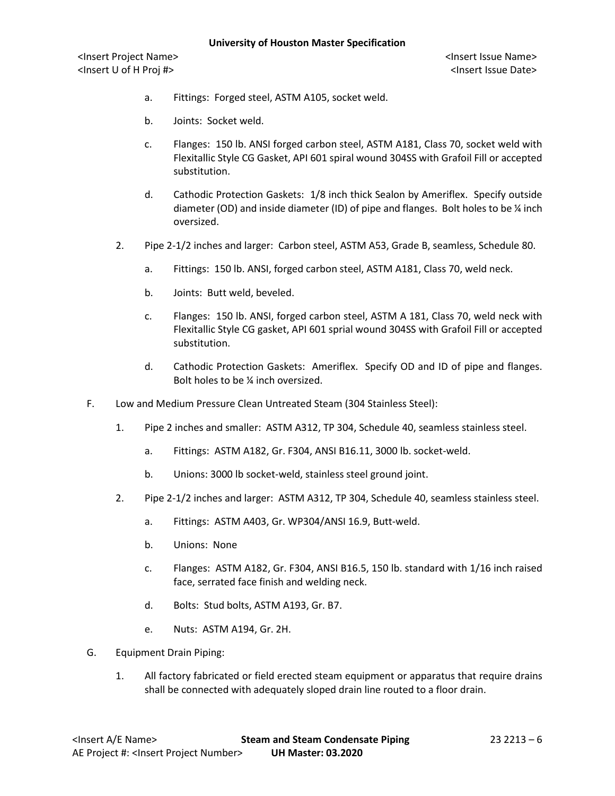- a. Fittings: Forged steel, ASTM A105, socket weld.
- b. Joints: Socket weld.
- c. Flanges: 150 lb. ANSI forged carbon steel, ASTM A181, Class 70, socket weld with Flexitallic Style CG Gasket, API 601 spiral wound 304SS with Grafoil Fill or accepted substitution.
- d. Cathodic Protection Gaskets: 1/8 inch thick Sealon by Ameriflex. Specify outside diameter (OD) and inside diameter (ID) of pipe and flanges. Bolt holes to be ¼ inch oversized.
- 2. Pipe 2-1/2 inches and larger: Carbon steel, ASTM A53, Grade B, seamless, Schedule 80.
	- a. Fittings: 150 lb. ANSI, forged carbon steel, ASTM A181, Class 70, weld neck.
	- b. Joints: Butt weld, beveled.
	- c. Flanges: 150 lb. ANSI, forged carbon steel, ASTM A 181, Class 70, weld neck with Flexitallic Style CG gasket, API 601 sprial wound 304SS with Grafoil Fill or accepted substitution.
	- d. Cathodic Protection Gaskets: Ameriflex. Specify OD and ID of pipe and flanges. Bolt holes to be ¼ inch oversized.
- F. Low and Medium Pressure Clean Untreated Steam (304 Stainless Steel):
	- 1. Pipe 2 inches and smaller: ASTM A312, TP 304, Schedule 40, seamless stainless steel.
		- a. Fittings: ASTM A182, Gr. F304, ANSI B16.11, 3000 lb. socket-weld.
		- b. Unions: 3000 lb socket-weld, stainless steel ground joint.
	- 2. Pipe 2-1/2 inches and larger: ASTM A312, TP 304, Schedule 40, seamless stainless steel.
		- a. Fittings: ASTM A403, Gr. WP304/ANSI 16.9, Butt-weld.
		- b. Unions: None
		- c. Flanges: ASTM A182, Gr. F304, ANSI B16.5, 150 lb. standard with 1/16 inch raised face, serrated face finish and welding neck.
		- d. Bolts: Stud bolts, ASTM A193, Gr. B7.
		- e. Nuts: ASTM A194, Gr. 2H.
- G. Equipment Drain Piping:
	- 1. All factory fabricated or field erected steam equipment or apparatus that require drains shall be connected with adequately sloped drain line routed to a floor drain.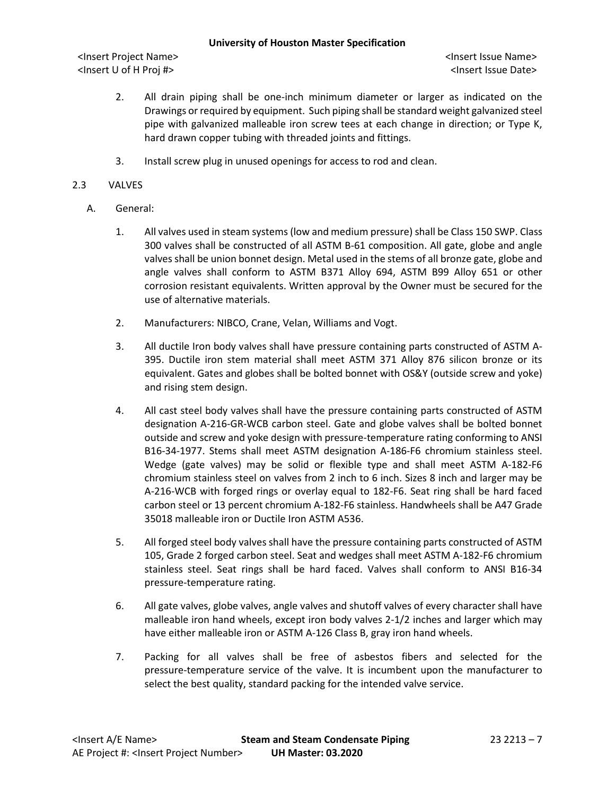- 2. All drain piping shall be one-inch minimum diameter or larger as indicated on the Drawings or required by equipment. Such piping shall be standard weight galvanized steel pipe with galvanized malleable iron screw tees at each change in direction; or Type K, hard drawn copper tubing with threaded joints and fittings.
- 3. Install screw plug in unused openings for access to rod and clean.

# 2.3 VALVES

- A. General:
	- 1. All valves used in steam systems (low and medium pressure) shall be Class 150 SWP. Class 300 valves shall be constructed of all ASTM B-61 composition. All gate, globe and angle valves shall be union bonnet design. Metal used in the stems of all bronze gate, globe and angle valves shall conform to ASTM B371 Alloy 694, ASTM B99 Alloy 651 or other corrosion resistant equivalents. Written approval by the Owner must be secured for the use of alternative materials.
	- 2. Manufacturers: NIBCO, Crane, Velan, Williams and Vogt.
	- 3. All ductile Iron body valves shall have pressure containing parts constructed of ASTM A-395. Ductile iron stem material shall meet ASTM 371 Alloy 876 silicon bronze or its equivalent. Gates and globes shall be bolted bonnet with OS&Y (outside screw and yoke) and rising stem design.
	- 4. All cast steel body valves shall have the pressure containing parts constructed of ASTM designation A-216-GR-WCB carbon steel. Gate and globe valves shall be bolted bonnet outside and screw and yoke design with pressure-temperature rating conforming to ANSI B16-34-1977. Stems shall meet ASTM designation A-186-F6 chromium stainless steel. Wedge (gate valves) may be solid or flexible type and shall meet ASTM A-182-F6 chromium stainless steel on valves from 2 inch to 6 inch. Sizes 8 inch and larger may be A-216-WCB with forged rings or overlay equal to 182-F6. Seat ring shall be hard faced carbon steel or 13 percent chromium A-182-F6 stainless. Handwheels shall be A47 Grade 35018 malleable iron or Ductile Iron ASTM A536.
	- 5. All forged steel body valves shall have the pressure containing parts constructed of ASTM 105, Grade 2 forged carbon steel. Seat and wedges shall meet ASTM A-182-F6 chromium stainless steel. Seat rings shall be hard faced. Valves shall conform to ANSI B16-34 pressure-temperature rating.
	- 6. All gate valves, globe valves, angle valves and shutoff valves of every character shall have malleable iron hand wheels, except iron body valves 2-1/2 inches and larger which may have either malleable iron or ASTM A-126 Class B, gray iron hand wheels.
	- 7. Packing for all valves shall be free of asbestos fibers and selected for the pressure-temperature service of the valve. It is incumbent upon the manufacturer to select the best quality, standard packing for the intended valve service.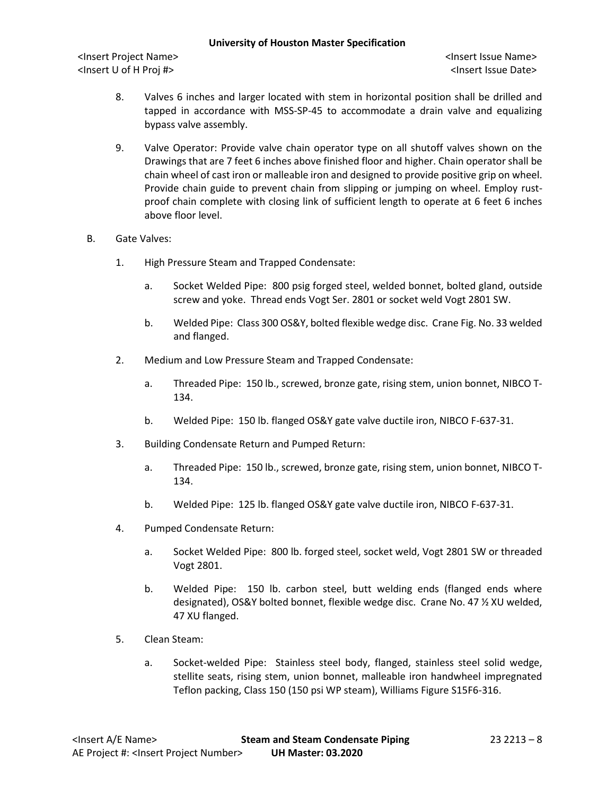- 8. Valves 6 inches and larger located with stem in horizontal position shall be drilled and tapped in accordance with MSS-SP-45 to accommodate a drain valve and equalizing bypass valve assembly.
- 9. Valve Operator: Provide valve chain operator type on all shutoff valves shown on the Drawings that are 7 feet 6 inches above finished floor and higher. Chain operator shall be chain wheel of cast iron or malleable iron and designed to provide positive grip on wheel. Provide chain guide to prevent chain from slipping or jumping on wheel. Employ rustproof chain complete with closing link of sufficient length to operate at 6 feet 6 inches above floor level.
- B. Gate Valves:
	- 1. High Pressure Steam and Trapped Condensate:
		- a. Socket Welded Pipe: 800 psig forged steel, welded bonnet, bolted gland, outside screw and yoke. Thread ends Vogt Ser. 2801 or socket weld Vogt 2801 SW.
		- b. Welded Pipe: Class 300 OS&Y, bolted flexible wedge disc. Crane Fig. No. 33 welded and flanged.
	- 2. Medium and Low Pressure Steam and Trapped Condensate:
		- a. Threaded Pipe: 150 lb., screwed, bronze gate, rising stem, union bonnet, NIBCO T-134.
		- b. Welded Pipe: 150 lb. flanged OS&Y gate valve ductile iron, NIBCO F-637-31.
	- 3. Building Condensate Return and Pumped Return:
		- a. Threaded Pipe: 150 lb., screwed, bronze gate, rising stem, union bonnet, NIBCO T-134.
		- b. Welded Pipe: 125 lb. flanged OS&Y gate valve ductile iron, NIBCO F-637-31.
	- 4. Pumped Condensate Return:
		- a. Socket Welded Pipe: 800 lb. forged steel, socket weld, Vogt 2801 SW or threaded Vogt 2801.
		- b. Welded Pipe: 150 lb. carbon steel, butt welding ends (flanged ends where designated), OS&Y bolted bonnet, flexible wedge disc. Crane No. 47 ½ XU welded, 47 XU flanged.
	- 5. Clean Steam:
		- a. Socket-welded Pipe: Stainless steel body, flanged, stainless steel solid wedge, stellite seats, rising stem, union bonnet, malleable iron handwheel impregnated Teflon packing, Class 150 (150 psi WP steam), Williams Figure S15F6-316.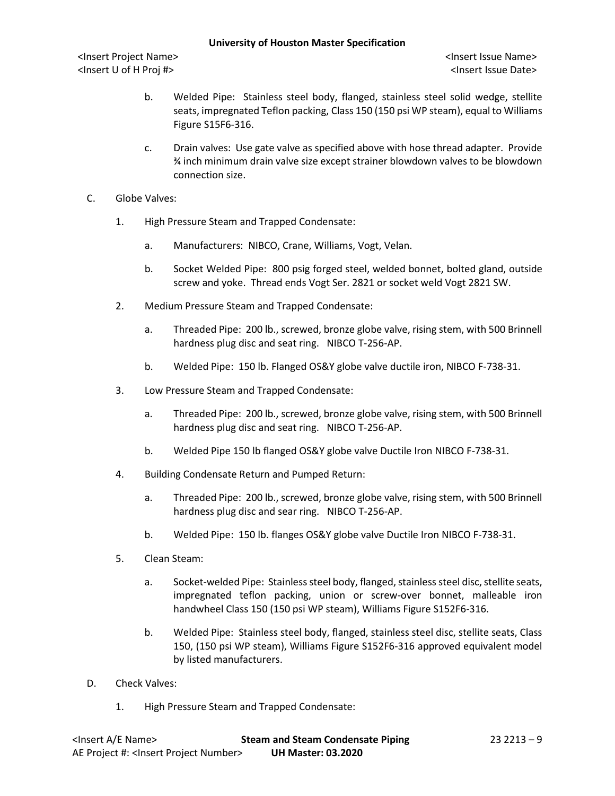- b. Welded Pipe: Stainless steel body, flanged, stainless steel solid wedge, stellite seats, impregnated Teflon packing, Class 150 (150 psi WP steam), equal to Williams Figure S15F6-316.
- c. Drain valves: Use gate valve as specified above with hose thread adapter. Provide ¾ inch minimum drain valve size except strainer blowdown valves to be blowdown connection size.
- C. Globe Valves:
	- 1. High Pressure Steam and Trapped Condensate:
		- a. Manufacturers: NIBCO, Crane, Williams, Vogt, Velan.
		- b. Socket Welded Pipe: 800 psig forged steel, welded bonnet, bolted gland, outside screw and yoke. Thread ends Vogt Ser. 2821 or socket weld Vogt 2821 SW.
	- 2. Medium Pressure Steam and Trapped Condensate:
		- a. Threaded Pipe: 200 lb., screwed, bronze globe valve, rising stem, with 500 Brinnell hardness plug disc and seat ring. NIBCO T-256-AP.
		- b. Welded Pipe: 150 lb. Flanged OS&Y globe valve ductile iron, NIBCO F-738-31.
	- 3. Low Pressure Steam and Trapped Condensate:
		- a. Threaded Pipe: 200 lb., screwed, bronze globe valve, rising stem, with 500 Brinnell hardness plug disc and seat ring. NIBCO T-256-AP.
		- b. Welded Pipe 150 lb flanged OS&Y globe valve Ductile Iron NIBCO F-738-31.
	- 4. Building Condensate Return and Pumped Return:
		- a. Threaded Pipe: 200 lb., screwed, bronze globe valve, rising stem, with 500 Brinnell hardness plug disc and sear ring. NIBCO T-256-AP.
		- b. Welded Pipe: 150 lb. flanges OS&Y globe valve Ductile Iron NIBCO F-738-31.
	- 5. Clean Steam:
		- a. Socket-welded Pipe: Stainless steel body, flanged, stainless steel disc, stellite seats, impregnated teflon packing, union or screw-over bonnet, malleable iron handwheel Class 150 (150 psi WP steam), Williams Figure S152F6-316.
		- b. Welded Pipe: Stainless steel body, flanged, stainless steel disc, stellite seats, Class 150, (150 psi WP steam), Williams Figure S152F6-316 approved equivalent model by listed manufacturers.
- D. Check Valves:
	- 1. High Pressure Steam and Trapped Condensate: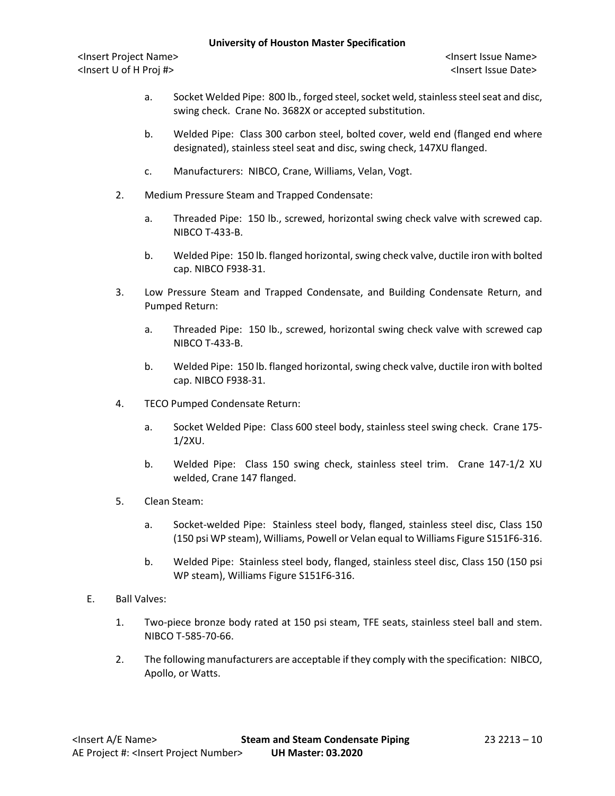- a. Socket Welded Pipe: 800 lb., forged steel, socket weld, stainless steelseat and disc, swing check. Crane No. 3682X or accepted substitution.
- b. Welded Pipe: Class 300 carbon steel, bolted cover, weld end (flanged end where designated), stainless steel seat and disc, swing check, 147XU flanged.
- c. Manufacturers: NIBCO, Crane, Williams, Velan, Vogt.
- 2. Medium Pressure Steam and Trapped Condensate:
	- a. Threaded Pipe: 150 lb., screwed, horizontal swing check valve with screwed cap. NIBCO T-433-B.
	- b. Welded Pipe: 150 lb. flanged horizontal, swing check valve, ductile iron with bolted cap. NIBCO F938-31.
- 3. Low Pressure Steam and Trapped Condensate, and Building Condensate Return, and Pumped Return:
	- a. Threaded Pipe: 150 lb., screwed, horizontal swing check valve with screwed cap NIBCO T-433-B.
	- b. Welded Pipe: 150 lb. flanged horizontal, swing check valve, ductile iron with bolted cap. NIBCO F938-31.
- 4. TECO Pumped Condensate Return:
	- a. Socket Welded Pipe: Class 600 steel body, stainless steel swing check. Crane 175- 1/2XU.
	- b. Welded Pipe: Class 150 swing check, stainless steel trim. Crane 147-1/2 XU welded, Crane 147 flanged.
- 5. Clean Steam:
	- a. Socket-welded Pipe: Stainless steel body, flanged, stainless steel disc, Class 150 (150 psi WP steam), Williams, Powell or Velan equal to Williams Figure S151F6-316.
	- b. Welded Pipe: Stainless steel body, flanged, stainless steel disc, Class 150 (150 psi WP steam), Williams Figure S151F6-316.
- E. Ball Valves:
	- 1. Two-piece bronze body rated at 150 psi steam, TFE seats, stainless steel ball and stem. NIBCO T-585-70-66.
	- 2. The following manufacturers are acceptable if they comply with the specification: NIBCO, Apollo, or Watts.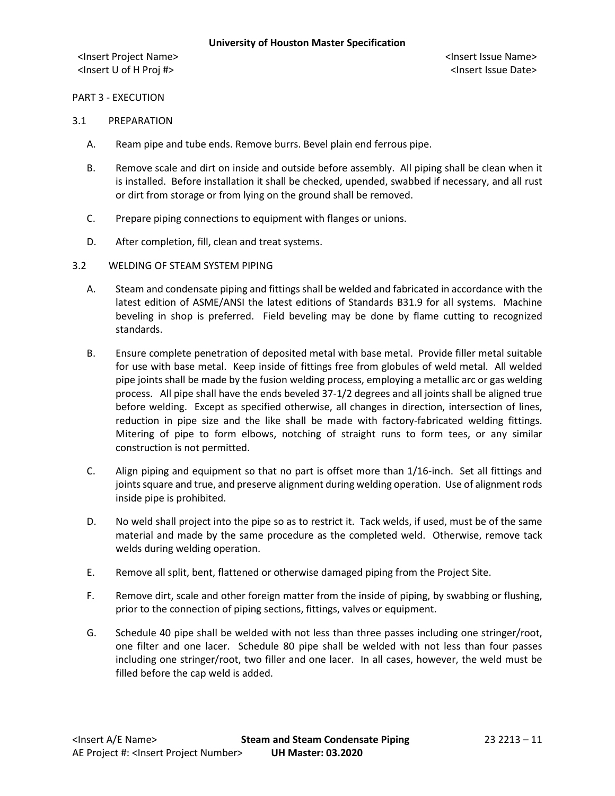#### PART 3 - EXECUTION

#### 3.1 PREPARATION

- A. Ream pipe and tube ends. Remove burrs. Bevel plain end ferrous pipe.
- B. Remove scale and dirt on inside and outside before assembly. All piping shall be clean when it is installed. Before installation it shall be checked, upended, swabbed if necessary, and all rust or dirt from storage or from lying on the ground shall be removed.
- C. Prepare piping connections to equipment with flanges or unions.
- D. After completion, fill, clean and treat systems.
- 3.2 WELDING OF STEAM SYSTEM PIPING
	- A. Steam and condensate piping and fittings shall be welded and fabricated in accordance with the latest edition of ASME/ANSI the latest editions of Standards B31.9 for all systems. Machine beveling in shop is preferred. Field beveling may be done by flame cutting to recognized standards.
	- B. Ensure complete penetration of deposited metal with base metal. Provide filler metal suitable for use with base metal. Keep inside of fittings free from globules of weld metal. All welded pipe joints shall be made by the fusion welding process, employing a metallic arc or gas welding process. All pipe shall have the ends beveled 37-1/2 degrees and all joints shall be aligned true before welding. Except as specified otherwise, all changes in direction, intersection of lines, reduction in pipe size and the like shall be made with factory-fabricated welding fittings. Mitering of pipe to form elbows, notching of straight runs to form tees, or any similar construction is not permitted.
	- C. Align piping and equipment so that no part is offset more than 1/16-inch. Set all fittings and joints square and true, and preserve alignment during welding operation. Use of alignment rods inside pipe is prohibited.
	- D. No weld shall project into the pipe so as to restrict it. Tack welds, if used, must be of the same material and made by the same procedure as the completed weld. Otherwise, remove tack welds during welding operation.
	- E. Remove all split, bent, flattened or otherwise damaged piping from the Project Site.
	- F. Remove dirt, scale and other foreign matter from the inside of piping, by swabbing or flushing, prior to the connection of piping sections, fittings, valves or equipment.
	- G. Schedule 40 pipe shall be welded with not less than three passes including one stringer/root, one filter and one lacer. Schedule 80 pipe shall be welded with not less than four passes including one stringer/root, two filler and one lacer. In all cases, however, the weld must be filled before the cap weld is added.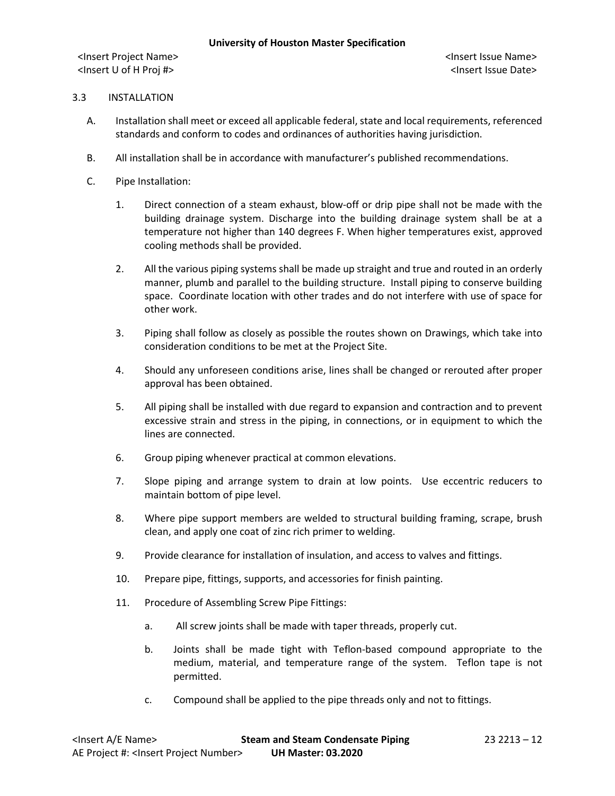### 3.3 INSTALLATION

- A. Installation shall meet or exceed all applicable federal, state and local requirements, referenced standards and conform to codes and ordinances of authorities having jurisdiction.
- B. All installation shall be in accordance with manufacturer's published recommendations.
- C. Pipe Installation:
	- 1. Direct connection of a steam exhaust, blow-off or drip pipe shall not be made with the building drainage system. Discharge into the building drainage system shall be at a temperature not higher than 140 degrees F. When higher temperatures exist, approved cooling methods shall be provided.
	- 2. All the various piping systems shall be made up straight and true and routed in an orderly manner, plumb and parallel to the building structure. Install piping to conserve building space. Coordinate location with other trades and do not interfere with use of space for other work.
	- 3. Piping shall follow as closely as possible the routes shown on Drawings, which take into consideration conditions to be met at the Project Site.
	- 4. Should any unforeseen conditions arise, lines shall be changed or rerouted after proper approval has been obtained.
	- 5. All piping shall be installed with due regard to expansion and contraction and to prevent excessive strain and stress in the piping, in connections, or in equipment to which the lines are connected.
	- 6. Group piping whenever practical at common elevations.
	- 7. Slope piping and arrange system to drain at low points. Use eccentric reducers to maintain bottom of pipe level.
	- 8. Where pipe support members are welded to structural building framing, scrape, brush clean, and apply one coat of zinc rich primer to welding.
	- 9. Provide clearance for installation of insulation, and access to valves and fittings.
	- 10. Prepare pipe, fittings, supports, and accessories for finish painting.
	- 11. Procedure of Assembling Screw Pipe Fittings:
		- a. All screw joints shall be made with taper threads, properly cut.
		- b. Joints shall be made tight with Teflon-based compound appropriate to the medium, material, and temperature range of the system. Teflon tape is not permitted.
		- c. Compound shall be applied to the pipe threads only and not to fittings.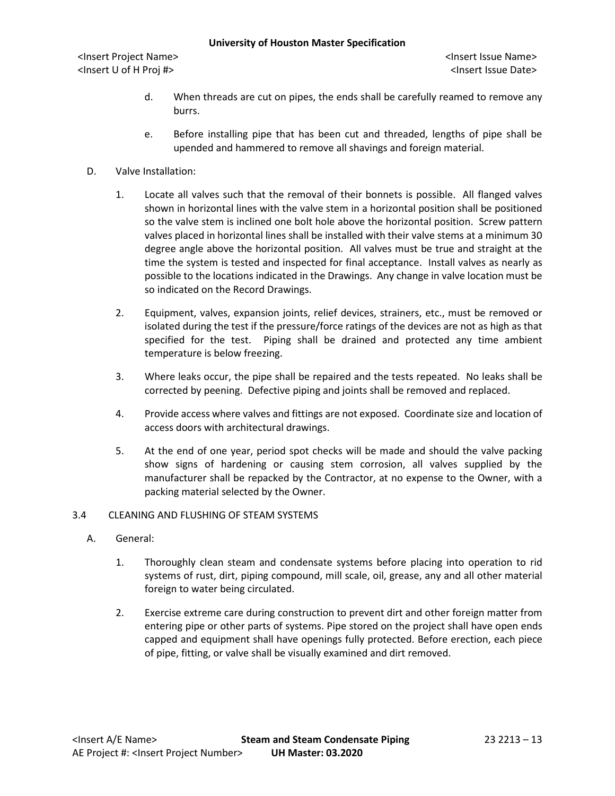- d. When threads are cut on pipes, the ends shall be carefully reamed to remove any burrs.
- e. Before installing pipe that has been cut and threaded, lengths of pipe shall be upended and hammered to remove all shavings and foreign material.
- D. Valve Installation:
	- 1. Locate all valves such that the removal of their bonnets is possible. All flanged valves shown in horizontal lines with the valve stem in a horizontal position shall be positioned so the valve stem is inclined one bolt hole above the horizontal position. Screw pattern valves placed in horizontal lines shall be installed with their valve stems at a minimum 30 degree angle above the horizontal position. All valves must be true and straight at the time the system is tested and inspected for final acceptance. Install valves as nearly as possible to the locations indicated in the Drawings. Any change in valve location must be so indicated on the Record Drawings.
	- 2. Equipment, valves, expansion joints, relief devices, strainers, etc., must be removed or isolated during the test if the pressure/force ratings of the devices are not as high as that specified for the test. Piping shall be drained and protected any time ambient temperature is below freezing.
	- 3. Where leaks occur, the pipe shall be repaired and the tests repeated. No leaks shall be corrected by peening. Defective piping and joints shall be removed and replaced.
	- 4. Provide access where valves and fittings are not exposed. Coordinate size and location of access doors with architectural drawings.
	- 5. At the end of one year, period spot checks will be made and should the valve packing show signs of hardening or causing stem corrosion, all valves supplied by the manufacturer shall be repacked by the Contractor, at no expense to the Owner, with a packing material selected by the Owner.

### 3.4 CLEANING AND FLUSHING OF STEAM SYSTEMS

- A. General:
	- 1. Thoroughly clean steam and condensate systems before placing into operation to rid systems of rust, dirt, piping compound, mill scale, oil, grease, any and all other material foreign to water being circulated.
	- 2. Exercise extreme care during construction to prevent dirt and other foreign matter from entering pipe or other parts of systems. Pipe stored on the project shall have open ends capped and equipment shall have openings fully protected. Before erection, each piece of pipe, fitting, or valve shall be visually examined and dirt removed.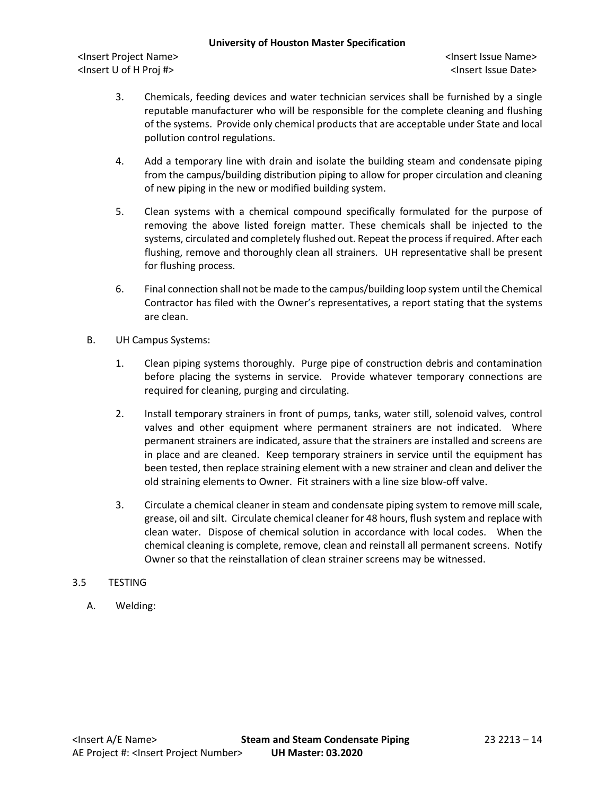- 3. Chemicals, feeding devices and water technician services shall be furnished by a single reputable manufacturer who will be responsible for the complete cleaning and flushing of the systems. Provide only chemical products that are acceptable under State and local pollution control regulations.
- 4. Add a temporary line with drain and isolate the building steam and condensate piping from the campus/building distribution piping to allow for proper circulation and cleaning of new piping in the new or modified building system.
- 5. Clean systems with a chemical compound specifically formulated for the purpose of removing the above listed foreign matter. These chemicals shall be injected to the systems, circulated and completely flushed out. Repeat the process if required. After each flushing, remove and thoroughly clean all strainers. UH representative shall be present for flushing process.
- 6. Final connection shall not be made to the campus/building loop system until the Chemical Contractor has filed with the Owner's representatives, a report stating that the systems are clean.
- B. UH Campus Systems:
	- 1. Clean piping systems thoroughly. Purge pipe of construction debris and contamination before placing the systems in service. Provide whatever temporary connections are required for cleaning, purging and circulating.
	- 2. Install temporary strainers in front of pumps, tanks, water still, solenoid valves, control valves and other equipment where permanent strainers are not indicated. Where permanent strainers are indicated, assure that the strainers are installed and screens are in place and are cleaned. Keep temporary strainers in service until the equipment has been tested, then replace straining element with a new strainer and clean and deliver the old straining elements to Owner. Fit strainers with a line size blow-off valve.
	- 3. Circulate a chemical cleaner in steam and condensate piping system to remove mill scale, grease, oil and silt. Circulate chemical cleaner for 48 hours, flush system and replace with clean water. Dispose of chemical solution in accordance with local codes. When the chemical cleaning is complete, remove, clean and reinstall all permanent screens. Notify Owner so that the reinstallation of clean strainer screens may be witnessed.
- 3.5 TESTING
	- A. Welding: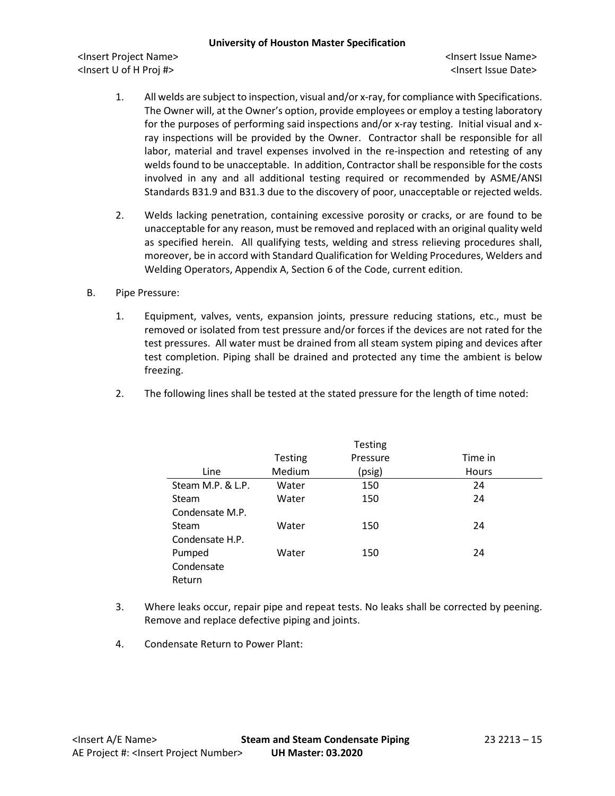- 1. All welds are subject to inspection, visual and/or x-ray, for compliance with Specifications. The Owner will, at the Owner's option, provide employees or employ a testing laboratory for the purposes of performing said inspections and/or x-ray testing. Initial visual and xray inspections will be provided by the Owner. Contractor shall be responsible for all labor, material and travel expenses involved in the re-inspection and retesting of any welds found to be unacceptable. In addition, Contractorshall be responsible for the costs involved in any and all additional testing required or recommended by ASME/ANSI Standards B31.9 and B31.3 due to the discovery of poor, unacceptable or rejected welds.
- 2. Welds lacking penetration, containing excessive porosity or cracks, or are found to be unacceptable for any reason, must be removed and replaced with an original quality weld as specified herein. All qualifying tests, welding and stress relieving procedures shall, moreover, be in accord with Standard Qualification for Welding Procedures, Welders and Welding Operators, Appendix A, Section 6 of the Code, current edition.
- B. Pipe Pressure:
	- 1. Equipment, valves, vents, expansion joints, pressure reducing stations, etc., must be removed or isolated from test pressure and/or forces if the devices are not rated for the test pressures. All water must be drained from all steam system piping and devices after test completion. Piping shall be drained and protected any time the ambient is below freezing.
	- 2. The following lines shall be tested at the stated pressure for the length of time noted:

|                   |         | <b>Testing</b> |         |
|-------------------|---------|----------------|---------|
|                   | Testing | Pressure       | Time in |
| Line              | Medium  | (psig)         | Hours   |
| Steam M.P. & L.P. | Water   | 150            | 24      |
| Steam             | Water   | 150            | 24      |
| Condensate M.P.   |         |                |         |
| Steam             | Water   | 150            | 24      |
| Condensate H.P.   |         |                |         |
| Pumped            | Water   | 150            | 24      |
| Condensate        |         |                |         |
| Return            |         |                |         |

- 3. Where leaks occur, repair pipe and repeat tests. No leaks shall be corrected by peening. Remove and replace defective piping and joints.
- 4. Condensate Return to Power Plant: